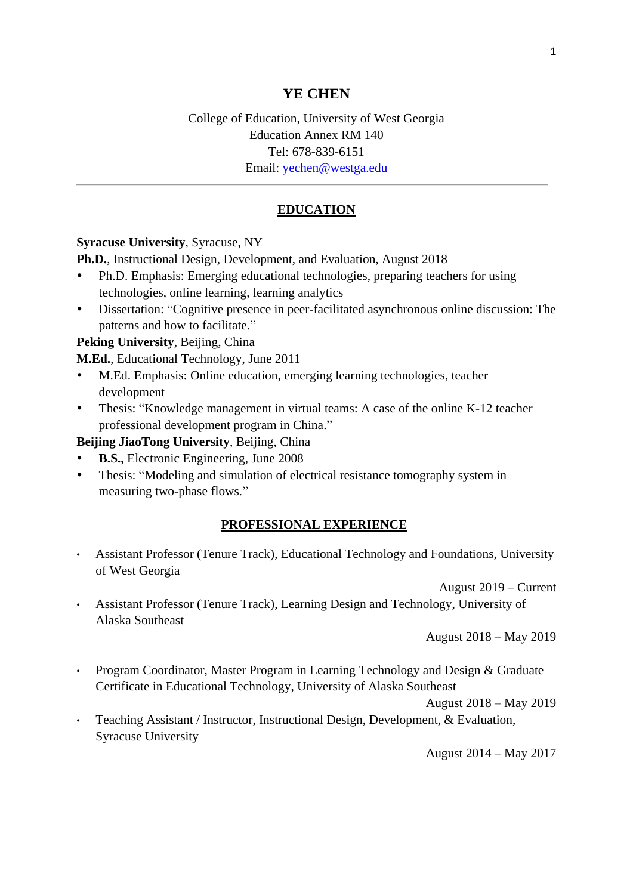# **YE CHEN**

# College of Education, University of West Georgia Education Annex RM 140 Tel: 678-839-6151 Email: [yechen@westga.edu](mailto:yechen@westga.edu)

# **EDUCATION**

### **Syracuse University**, Syracuse, NY

**Ph.D.**, Instructional Design, Development, and Evaluation, August 2018

- Ph.D. Emphasis: Emerging educational technologies, preparing teachers for using technologies, online learning, learning analytics
- Dissertation: "Cognitive presence in peer-facilitated asynchronous online discussion: The patterns and how to facilitate."

**Peking University**, Beijing, China

**M.Ed.**, Educational Technology, June 2011

- M.Ed. Emphasis: Online education, emerging learning technologies, teacher development
- Thesis: "Knowledge management in virtual teams: A case of the online K-12 teacher professional development program in China."

**Beijing JiaoTong University**, Beijing, China

- **B.S.,** Electronic Engineering, June 2008
- Thesis: "Modeling and simulation of electrical resistance tomography system in measuring two-phase flows."

#### **PROFESSIONAL EXPERIENCE**

• Assistant Professor (Tenure Track), Educational Technology and Foundations, University of West Georgia

August 2019 – Current

• Assistant Professor (Tenure Track), Learning Design and Technology, University of Alaska Southeast

August 2018 – May 2019

• Program Coordinator, Master Program in Learning Technology and Design & Graduate Certificate in Educational Technology, University of Alaska Southeast

August 2018 – May 2019

• Teaching Assistant / Instructor, Instructional Design, Development, & Evaluation, Syracuse University

August 2014 – May 2017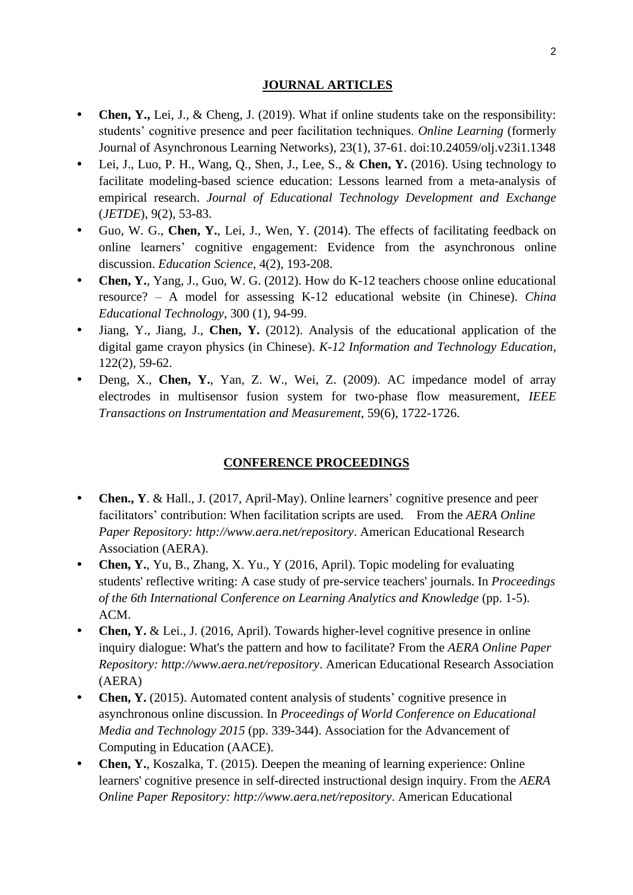#### **JOURNAL ARTICLES**

- **Chen, Y.,** Lei, J., & Cheng, J. (2019). What if online students take on the responsibility: students' cognitive presence and peer facilitation techniques. *Online Learning* (formerly Journal of Asynchronous Learning Networks), 23(1), 37-61. doi:10.24059/olj.v23i1.1348
- Lei, J., Luo, P. H., Wang, Q., Shen, J., Lee, S., & **Chen, Y.** (2016). Using technology to facilitate modeling-based science education: Lessons learned from a meta-analysis of empirical research. *Journal of Educational Technology Development and Exchange* (*JETDE*), 9(2), 53-83.
- Guo, W. G., **Chen, Y.**, Lei, J., Wen, Y. (2014). The effects of facilitating feedback on online learners' cognitive engagement: Evidence from the asynchronous online discussion. *Education Science*, 4(2), 193-208.
- Chen, Y., Yang, J., Guo, W. G. (2012). How do K-12 teachers choose online educational resource? – A model for assessing K-12 educational website (in Chinese). *China Educational Technology*, 300 (1), 94-99.
- Jiang, Y., Jiang, J., **Chen, Y.** (2012). Analysis of the educational application of the digital game crayon physics (in Chinese). *K-12 Information and Technology Education*, 122(2), 59-62.
- Deng, X., **Chen, Y.**, Yan, Z. W., Wei, Z. (2009). AC impedance model of array electrodes in multisensor fusion system for two-phase flow measurement, *IEEE Transactions on Instrumentation and Measurement*, 59(6), 1722-1726.

#### **CONFERENCE PROCEEDINGS**

- **Chen., Y**. & Hall., J. (2017, April-May). Online learners' cognitive presence and peer facilitators' contribution: When facilitation scripts are used. From the *AERA Online Paper Repository: http://www.aera.net/repository*. American Educational Research Association (AERA).
- **Chen, Y.**, Yu, B., Zhang, X. Yu., Y (2016, April). Topic modeling for evaluating students' reflective writing: A case study of pre-service teachers' journals. In *Proceedings of the 6th International Conference on Learning Analytics and Knowledge* (pp. 1-5). ACM.
- Chen, Y. & Lei., J. (2016, April). Towards higher-level cognitive presence in online inquiry dialogue: What's the pattern and how to facilitate? From the *AERA Online Paper Repository: http://www.aera.net/repository*. American Educational Research Association (AERA)
- **Chen, Y.** (2015). Automated content analysis of students' cognitive presence in asynchronous online discussion. In *Proceedings of World Conference on Educational Media and Technology 2015* (pp. 339-344). Association for the Advancement of Computing in Education (AACE).
- **Chen, Y.**, Koszalka, T. (2015). Deepen the meaning of learning experience: Online learners' cognitive presence in self-directed instructional design inquiry. From the *AERA Online Paper Repository: http://www.aera.net/repository*. American Educational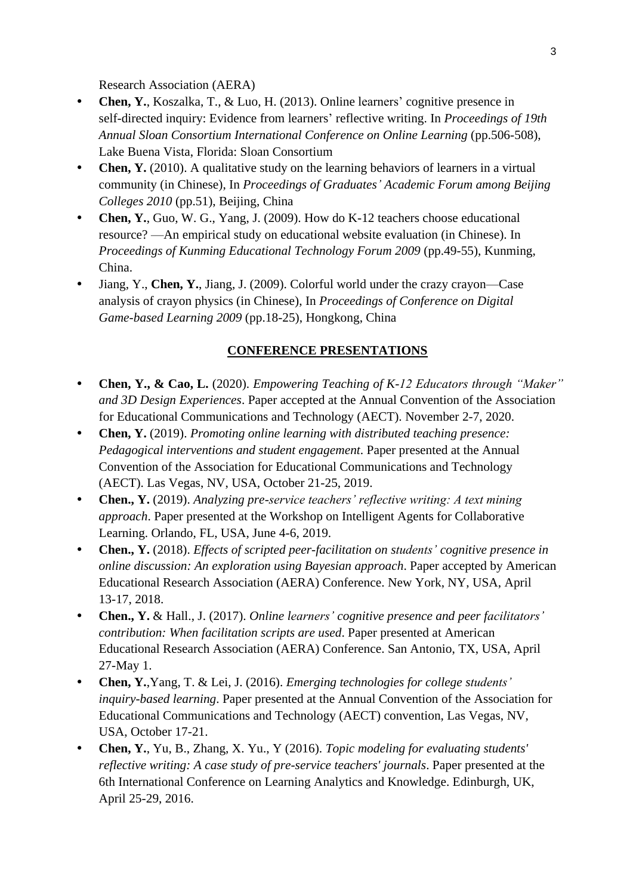Research Association (AERA)

- **Chen, Y.**, Koszalka, T., & Luo, H. (2013). Online learners' cognitive presence in self-directed inquiry: Evidence from learners' reflective writing. In *Proceedings of 19th Annual Sloan Consortium International Conference on Online Learning* (pp.506-508), Lake Buena Vista, Florida: Sloan Consortium
- **Chen, Y.** (2010). A qualitative study on the learning behaviors of learners in a virtual community (in Chinese), In *Proceedings of Graduates' Academic Forum among Beijing Colleges 2010* (pp.51), Beijing, China
- **Chen, Y.**, Guo, W. G., Yang, J. (2009). How do K-12 teachers choose educational resource? —An empirical study on educational website evaluation (in Chinese). In *Proceedings of Kunming Educational Technology Forum 2009* (pp.49-55), Kunming, China.
- Jiang, Y., **Chen, Y.**, Jiang, J. (2009). Colorful world under the crazy crayon—Case analysis of crayon physics (in Chinese), In *Proceedings of Conference on Digital Game-based Learning 2009* (pp.18-25), Hongkong, China

## **CONFERENCE PRESENTATIONS**

- **Chen, Y., & Cao, L.** (2020). *Empowering Teaching of K-12 Educators through "Maker" and 3D Design Experiences*. Paper accepted at the Annual Convention of the Association for Educational Communications and Technology (AECT). November 2-7, 2020.
- **Chen, Y.** (2019). *Promoting online learning with distributed teaching presence: Pedagogical interventions and student engagement*. Paper presented at the Annual Convention of the Association for Educational Communications and Technology (AECT). Las Vegas, NV, USA, October 21-25, 2019.
- **Chen., Y.** (2019). *Analyzing pre-service teachers' reflective writing: A text mining approach*. Paper presented at the Workshop on Intelligent Agents for Collaborative Learning. Orlando, FL, USA, June 4-6, 2019.
- **Chen., Y.** (2018). *Effects of scripted peer-facilitation on students' cognitive presence in online discussion: An exploration using Bayesian approach*. Paper accepted by American Educational Research Association (AERA) Conference. New York, NY, USA, April 13-17, 2018.
- **Chen., Y.** & Hall., J. (2017). *Online learners' cognitive presence and peer facilitators' contribution: When facilitation scripts are used*. Paper presented at American Educational Research Association (AERA) Conference. San Antonio, TX, USA, April 27-May 1.
- **Chen, Y.**,Yang, T. & Lei, J. (2016). *Emerging technologies for college students' inquiry-based learning*. Paper presented at the Annual Convention of the Association for Educational Communications and Technology (AECT) convention, Las Vegas, NV, USA, October 17-21.
- **Chen, Y.**, Yu, B., Zhang, X. Yu., Y (2016). *Topic modeling for evaluating students' reflective writing: A case study of pre-service teachers' journals*. Paper presented at the 6th International Conference on Learning Analytics and Knowledge. Edinburgh, UK, April 25-29, 2016.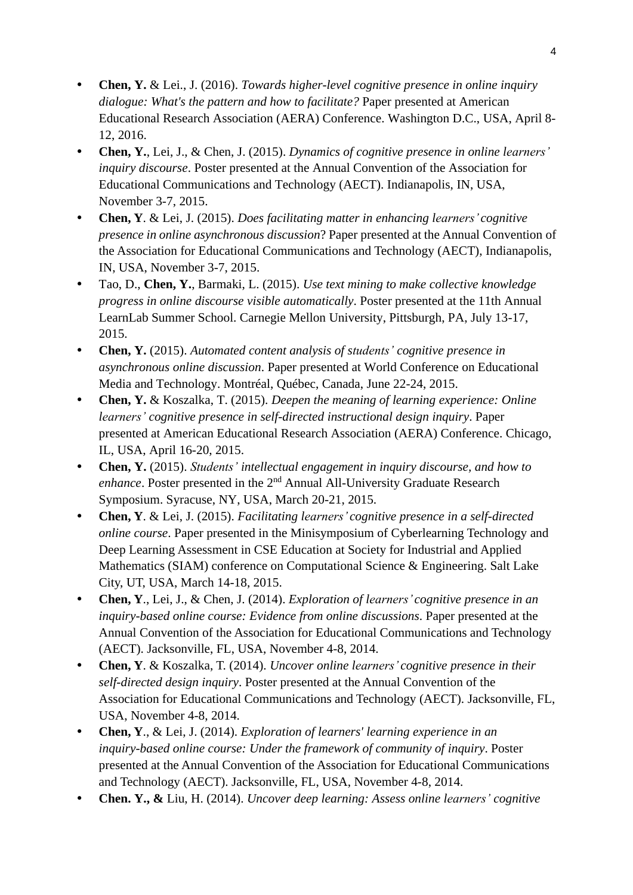- **Chen, Y.** & Lei., J. (2016). *Towards higher-level cognitive presence in online inquiry dialogue: What's the pattern and how to facilitate?* Paper presented at American Educational Research Association (AERA) Conference. Washington D.C., USA, April 8- 12, 2016.
- **Chen, Y.**, Lei, J., & Chen, J. (2015). *Dynamics of cognitive presence in online learners' inquiry discourse*. Poster presented at the Annual Convention of the Association for Educational Communications and Technology (AECT). Indianapolis, IN, USA, November 3-7, 2015.
- **Chen, Y**. & Lei, J. (2015). *Does facilitating matter in enhancing learners' cognitive presence in online asynchronous discussion*? Paper presented at the Annual Convention of the Association for Educational Communications and Technology (AECT), Indianapolis, IN, USA, November 3-7, 2015.
- Tao, D., **Chen, Y.**, Barmaki, L. (2015). *Use text mining to make collective knowledge progress in online discourse visible automatically*. Poster presented at the 11th Annual LearnLab Summer School. Carnegie Mellon University, Pittsburgh, PA, July 13-17, 2015.
- **Chen, Y.** (2015). *Automated content analysis of students' cognitive presence in asynchronous online discussion*. Paper presented at World Conference on Educational Media and Technology. Montréal, Québec, Canada, June 22-24, 2015.
- **Chen, Y.** & Koszalka, T. (2015). *Deepen the meaning of learning experience: Online learners' cognitive presence in self-directed instructional design inquiry*. Paper presented at American Educational Research Association (AERA) Conference. Chicago, IL, USA, April 16-20, 2015.
- **Chen, Y.** (2015). *Students' intellectual engagement in inquiry discourse, and how to*  enhance. Poster presented in the 2<sup>nd</sup> Annual All-University Graduate Research Symposium. Syracuse, NY, USA, March 20-21, 2015.
- **Chen, Y**. & Lei, J. (2015). *Facilitating learners' cognitive presence in a self-directed online course*. Paper presented in the Minisymposium of Cyberlearning Technology and Deep Learning Assessment in CSE Education at Society for Industrial and Applied Mathematics (SIAM) conference on Computational Science & Engineering. Salt Lake City, UT, USA, March 14-18, 2015.
- **Chen, Y**., Lei, J., & Chen, J. (2014). *Exploration of learners' cognitive presence in an inquiry-based online course: Evidence from online discussions*. Paper presented at the Annual Convention of the Association for Educational Communications and Technology (AECT). Jacksonville, FL, USA, November 4-8, 2014.
- **Chen, Y**. & Koszalka, T. (2014). *Uncover online learners' cognitive presence in their self-directed design inquiry*. Poster presented at the Annual Convention of the Association for Educational Communications and Technology (AECT). Jacksonville, FL, USA, November 4-8, 2014.
- **Chen, Y**., & Lei, J. (2014). *Exploration of learners' learning experience in an inquiry-based online course: Under the framework of community of inquiry*. Poster presented at the Annual Convention of the Association for Educational Communications and Technology (AECT). Jacksonville, FL, USA, November 4-8, 2014.
- **Chen. Y., &** Liu, H. (2014). *Uncover deep learning: Assess online learners' cognitive*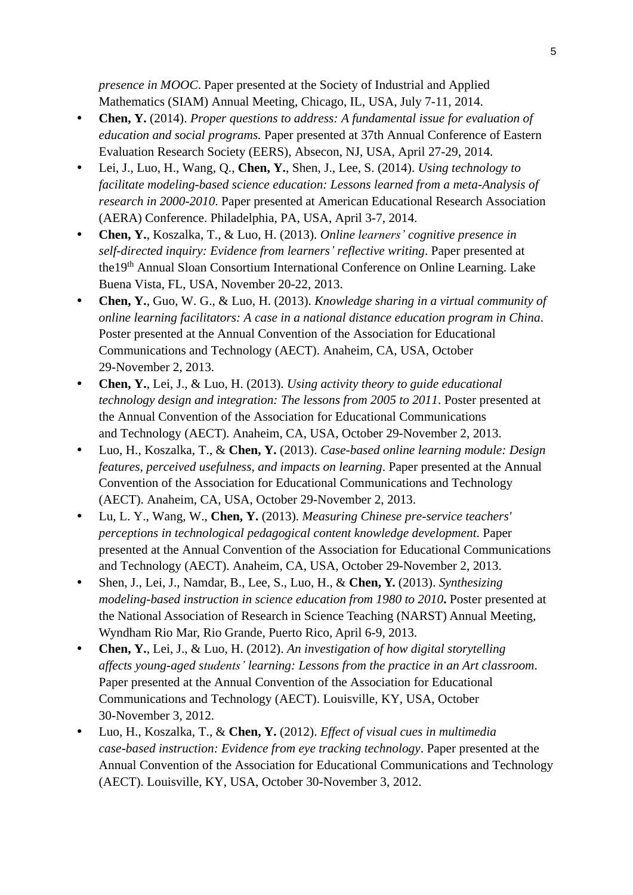*presence in MOOC*. Paper presented at the Society of Industrial and Applied Mathematics (SIAM) Annual Meeting, Chicago, IL, USA, July 7-11, 2014.

- **Chen, Y.** (2014). *Proper questions to address: A fundamental issue for evaluation of education and social programs.* Paper presented at [37th Annual Conference](http://eers.org/conferences) of Eastern Evaluation Research Society (EERS), Absecon, NJ, USA, April 27-29, 2014.
- Lei, J., Luo, H., Wang, Q., **Chen, Y.**, Shen, J., Lee, S. (2014). *Using technology to facilitate modeling-based science education: Lessons learned from a meta-Analysis of research in 2000-2010*. Paper presented at American Educational Research Association (AERA) Conference. Philadelphia, PA, USA, April 3-7, 2014.
- **Chen, Y.**, Koszalka, T., & Luo, H. (2013). *Online learners' cognitive presence in self-directed inquiry: Evidence from learners' reflective writing*. Paper presented at the19<sup>th</sup> Annual Sloan Consortium International Conference on Online Learning. Lake Buena Vista, FL, USA, November 20-22, 2013.
- **Chen, Y.**, Guo, W. G., & Luo, H. (2013). *Knowledge sharing in a virtual community of online learning facilitators: A case in a national distance education program in China*. Poster presented at the Annual Convention of the Association for Educational Communications and Technology (AECT). Anaheim, CA, USA, October 29-November 2, 2013.
- **Chen, Y.**, Lei, J., & Luo, H. (2013). *Using activity theory to guide educational technology design and integration: The lessons from 2005 to 2011*. Poster presented at the Annual Convention of the Association for Educational Communications and Technology (AECT). Anaheim, CA, USA, October 29-November 2, 2013.
- Luo, H., Koszalka, T., & **Chen, Y.** (2013). *Case-based online learning module: Design features, perceived usefulness, and impacts on learning*. Paper presented at the Annual Convention of the Association for Educational Communications and Technology (AECT). Anaheim, CA, USA, October 29-November 2, 2013.
- Lu, L. Y., Wang, W., **Chen, Y.** (2013). *Measuring Chinese pre-service teachers' perceptions in technological pedagogical content knowledge development*. Paper presented at the Annual Convention of the Association for Educational Communications and Technology (AECT). Anaheim, CA, USA, October 29-November 2, 2013.
- Shen, J., Lei, J., Namdar, B., Lee, S., Luo, H., & **Chen, Y.** (2013). *Synthesizing modeling-based instruction in science education from 1980 to 2010***.** Poster presented at the National Association of Research in Science Teaching (NARST) Annual Meeting, Wyndham Rio Mar, Rio Grande, Puerto Rico, April 6-9, 2013.
- **Chen, Y.**, Lei, J., & Luo, H. (2012). *An investigation of how digital storytelling affects young-aged students' learning: Lessons from the practice in an Art classroom*. Paper presented at the Annual Convention of the Association for Educational Communications and Technology (AECT). Louisville, KY, USA, October 30-November 3, 2012.
- Luo, H., Koszalka, T., & **Chen, Y.** (2012). *Effect of visual cues in multimedia case-based instruction: Evidence from eye tracking technology*. Paper presented at the Annual Convention of the Association for Educational Communications and Technology (AECT). Louisville, KY, USA, October 30-November 3, 2012.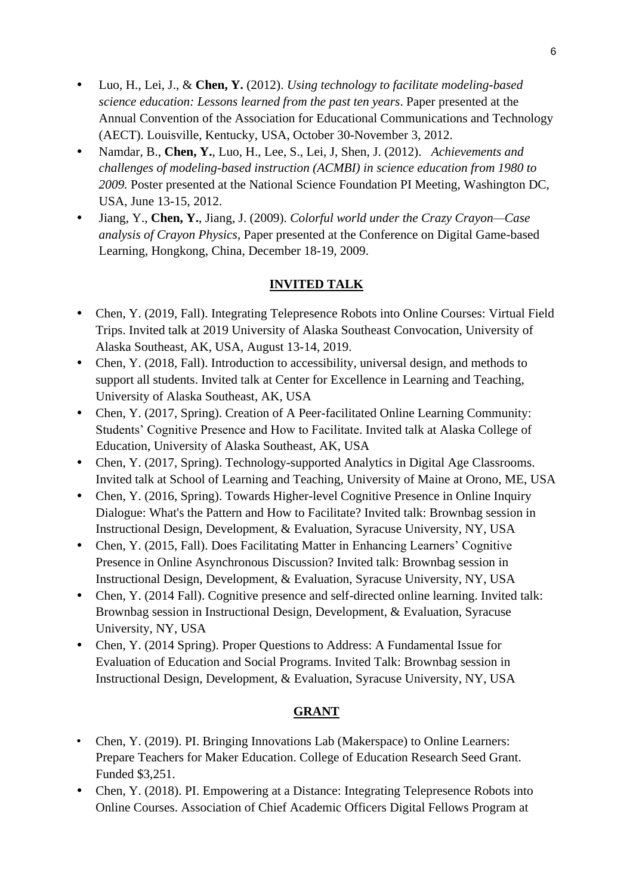- Luo, H., Lei, J., & **Chen, Y.** (2012). *Using technology to facilitate modeling-based science education: Lessons learned from the past ten years*. Paper presented at the Annual Convention of the Association for Educational Communications and Technology (AECT). Louisville, Kentucky, USA, October 30-November 3, 2012.
- Namdar, B., **Chen, Y.**, Luo, H., Lee, S., Lei, J, Shen, J. (2012). *Achievements and challenges of modeling-based instruction (ACMBI) in science education from 1980 to 2009.* Poster presented at the National Science Foundation PI Meeting, Washington DC, USA, June 13-15, 2012.
- Jiang, Y., **Chen, Y.**, Jiang, J. (2009). *Colorful world under the Crazy Crayon—Case analysis of Crayon Physics*, Paper presented at the Conference on Digital Game-based Learning, Hongkong, China, December 18-19, 2009.

# **INVITED TALK**

- Chen, Y. (2019, Fall). Integrating Telepresence Robots into Online Courses: Virtual Field Trips. Invited talk at 2019 University of Alaska Southeast Convocation, University of Alaska Southeast, AK, USA, August 13-14, 2019.
- Chen, Y. (2018, Fall). Introduction to accessibility, universal design, and methods to support all students. Invited talk at Center for Excellence in Learning and Teaching, University of Alaska Southeast, AK, USA
- Chen, Y. (2017, Spring). Creation of A Peer-facilitated Online Learning Community: Students' Cognitive Presence and How to Facilitate. Invited talk at Alaska College of Education, University of Alaska Southeast, AK, USA
- Chen, Y. (2017, Spring). Technology-supported Analytics in Digital Age Classrooms. Invited talk at School of Learning and Teaching, University of Maine at Orono, ME, USA
- Chen, Y. (2016, Spring). Towards Higher-level Cognitive Presence in Online Inquiry Dialogue: What's the Pattern and How to Facilitate? Invited talk: Brownbag session in Instructional Design, Development, & Evaluation, Syracuse University, NY, USA
- Chen, Y. (2015, Fall). Does Facilitating Matter in Enhancing Learners' Cognitive Presence in Online Asynchronous Discussion? Invited talk: Brownbag session in Instructional Design, Development, & Evaluation, Syracuse University, NY, USA
- Chen, Y. (2014 Fall). Cognitive presence and self-directed online learning. Invited talk: Brownbag session in Instructional Design, Development, & Evaluation, Syracuse University, NY, USA
- Chen, Y. (2014 Spring). Proper Questions to Address: A Fundamental Issue for Evaluation of Education and Social Programs. Invited Talk: Brownbag session in Instructional Design, Development, & Evaluation, Syracuse University, NY, USA

## **GRANT**

- Chen, Y. (2019). PI. Bringing Innovations Lab (Makerspace) to Online Learners: Prepare Teachers for Maker Education. College of Education Research Seed Grant. Funded \$3,251.
- Chen, Y. (2018). PI. Empowering at a Distance: Integrating Telepresence Robots into Online Courses. Association of Chief Academic Officers Digital Fellows Program at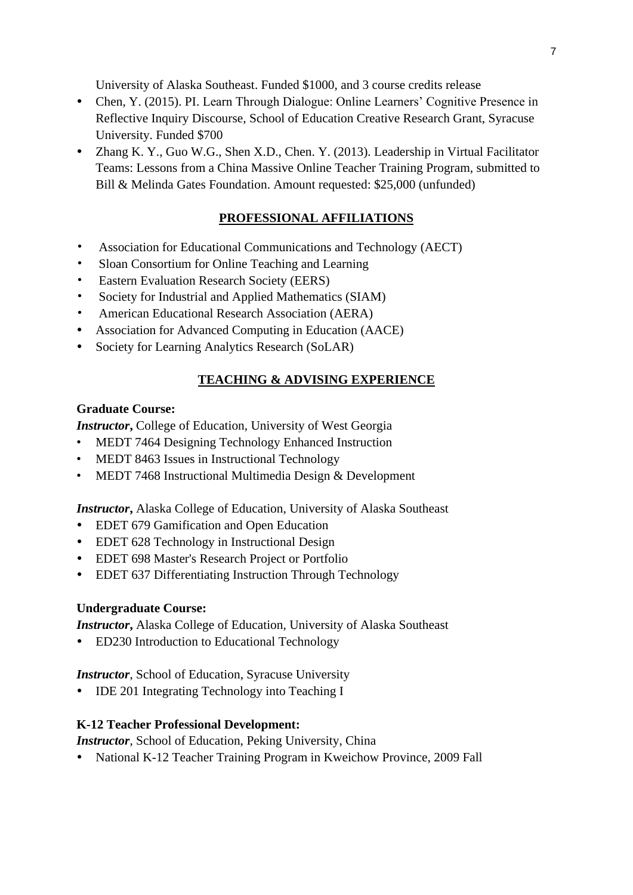University of Alaska Southeast. Funded \$1000, and 3 course credits release

- Chen, Y. (2015). PI. Learn Through Dialogue: Online Learners' Cognitive Presence in Reflective Inquiry Discourse, School of Education Creative Research Grant, Syracuse University. Funded \$700
- Zhang K. Y., Guo W.G., Shen X.D., Chen. Y. (2013). Leadership in Virtual Facilitator Teams: Lessons from a China Massive Online Teacher Training Program, submitted to Bill & Melinda Gates Foundation. Amount requested: \$25,000 (unfunded)

# **PROFESSIONAL AFFILIATIONS**

- Association for Educational Communications and Technology (AECT)
- Sloan Consortium for Online Teaching and Learning
- Eastern Evaluation Research Society (EERS)
- Society for Industrial and Applied Mathematics (SIAM)
- American Educational Research Association (AERA)
- Association for Advanced Computing in Education (AACE)
- Society for Learning Analytics Research (SoLAR)

# **TEACHING & ADVISING EXPERIENCE**

### **Graduate Course:**

*Instructor*, College of Education, University of West Georgia

- MEDT 7464 Designing Technology Enhanced Instruction
- MEDT 8463 Issues in Instructional Technology
- MEDT 7468 Instructional Multimedia Design & Development

*Instructor***,** Alaska College of Education, University of Alaska Southeast

- EDET 679 Gamification and Open Education
- EDET 628 Technology in Instructional Design
- EDET 698 Master's Research Project or Portfolio
- EDET 637 Differentiating Instruction Through Technology

## **Undergraduate Course:**

*Instructor***,** Alaska College of Education, University of Alaska Southeast

• ED230 Introduction to Educational Technology

*Instructor*, School of Education, Syracuse University

IDE 201 Integrating Technology into Teaching I

## **K-12 Teacher Professional Development:**

*Instructor*, School of Education, Peking University, China

• National K-12 Teacher Training Program in Kweichow Province, 2009 Fall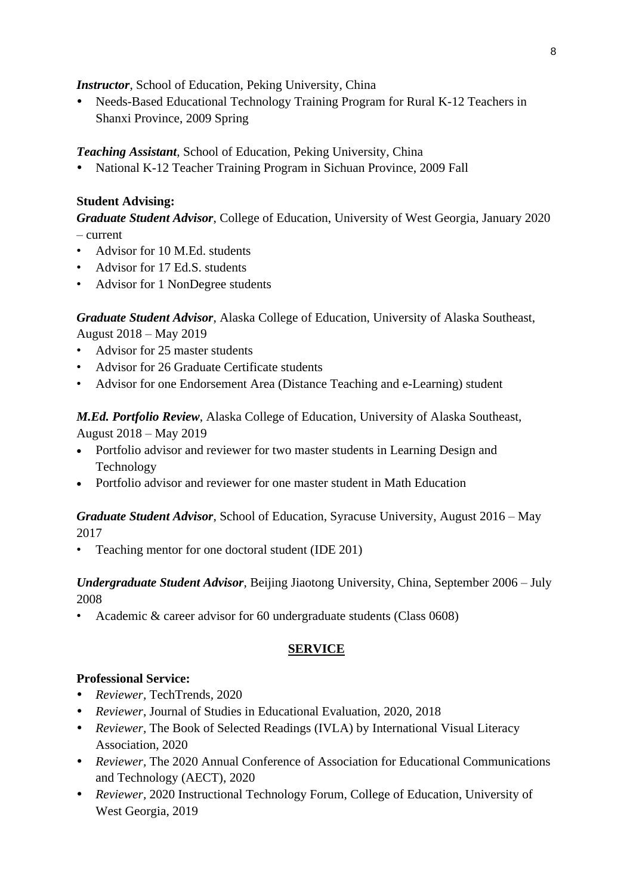*Instructor*, School of Education, Peking University, China

 Needs-Based Educational Technology Training Program for Rural K-12 Teachers in Shanxi Province, 2009 Spring

*Teaching Assistant*, School of Education, Peking University, China

National K-12 Teacher Training Program in Sichuan Province, 2009 Fall

# **Student Advising:**

*Graduate Student Advisor*, College of Education, University of West Georgia, January 2020 – current

- Advisor for 10 M.Ed. students
- Advisor for 17 Ed.S. students
- Advisor for 1 NonDegree students

*Graduate Student Advisor*, Alaska College of Education, University of Alaska Southeast, August 2018 – May 2019

- Advisor for 25 master students
- Advisor for 26 Graduate Certificate students
- Advisor for one Endorsement Area (Distance Teaching and e-Learning) student

*M.Ed. Portfolio Review*, Alaska College of Education, University of Alaska Southeast, August 2018 – May 2019

- Portfolio advisor and reviewer for two master students in Learning Design and Technology
- Portfolio advisor and reviewer for one master student in Math Education

# *Graduate Student Advisor*, School of Education, Syracuse University, August 2016 – May 2017

• Teaching mentor for one doctoral student (IDE 201)

# *Undergraduate Student Advisor*, Beijing Jiaotong University, China, September 2006 – July 2008

• Academic & career advisor for 60 undergraduate students (Class 0608)

# **SERVICE**

## **Professional Service:**

- *Reviewer,* TechTrends*,* 2020
- *Reviewer*, Journal of Studies in Educational Evaluation, 2020, 2018
- *Reviewer,* The Book of Selected Readings (IVLA) by International Visual Literacy Association, 2020
- *Reviewer,* The 2020 Annual Conference of Association for Educational Communications and Technology (AECT), 2020
- *Reviewer,* 2020 Instructional Technology Forum, College of Education, University of West Georgia, 2019